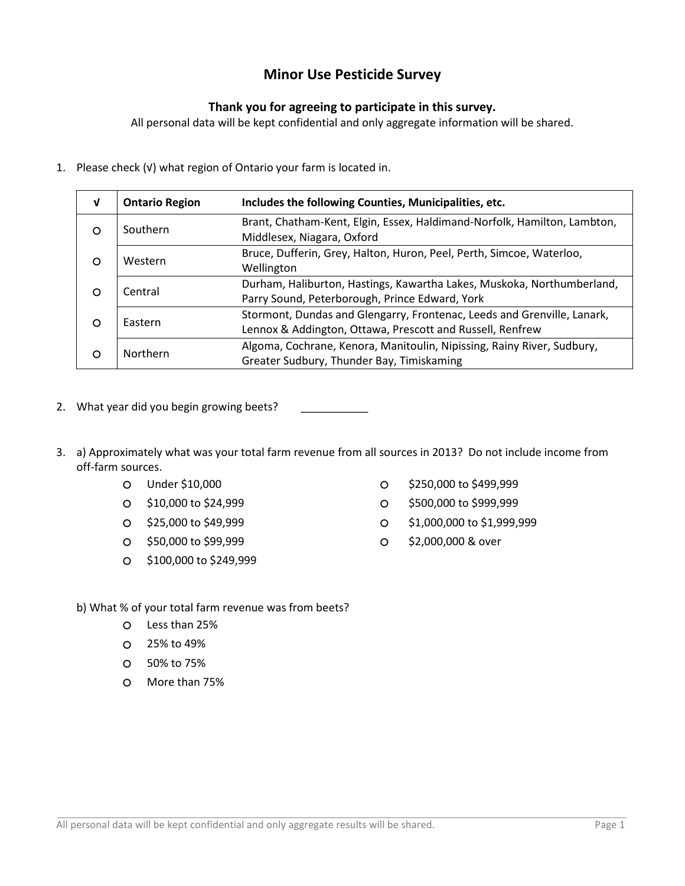## Minor Use Pesticide Survey

## Thank you for agreeing to participate in this survey.

All personal data will be kept confidential and only aggregate information will be shared.

1. Please check (√) what region of Ontario your farm is located in.

| $\mathbf v$  | <b>Ontario Region</b>                                                                                              | Includes the following Counties, Municipalities, etc.                                                                                |
|--------------|--------------------------------------------------------------------------------------------------------------------|--------------------------------------------------------------------------------------------------------------------------------------|
| O            | Brant, Chatham-Kent, Elgin, Essex, Haldimand-Norfolk, Hamilton, Lambton,<br>Southern<br>Middlesex, Niagara, Oxford |                                                                                                                                      |
| $\circ$      | Western                                                                                                            | Bruce, Dufferin, Grey, Halton, Huron, Peel, Perth, Simcoe, Waterloo,<br>Wellington                                                   |
| Central<br>O |                                                                                                                    | Durham, Haliburton, Hastings, Kawartha Lakes, Muskoka, Northumberland,<br>Parry Sound, Peterborough, Prince Edward, York             |
| $\circ$      | Eastern                                                                                                            | Stormont, Dundas and Glengarry, Frontenac, Leeds and Grenville, Lanark,<br>Lennox & Addington, Ottawa, Prescott and Russell, Renfrew |
| $\circ$      | Northern                                                                                                           | Algoma, Cochrane, Kenora, Manitoulin, Nipissing, Rainy River, Sudbury,<br>Greater Sudbury, Thunder Bay, Timiskaming                  |

- 2. What year did you begin growing beets?
- 3. a) Approximately what was your total farm revenue from all sources in 2013? Do not include income from off-farm sources.
	-
	-
	-
	- \$50,000 to \$99,999 \$2,000,000 & over
	- \$100,000 to \$249,999
	- O Under \$10,000 **big and the S10,000** state of the S250,000 to \$499,999
	- O \$10,000 to \$24,999 \$500,000 to \$999,999
	- \$25,000 to \$49,999 \$1,000,000 to \$1,999,999
		-
	- b) What % of your total farm revenue was from beets?
		- Less than 25%
		- 25% to 49%
		- 50% to 75%
		- More than 75%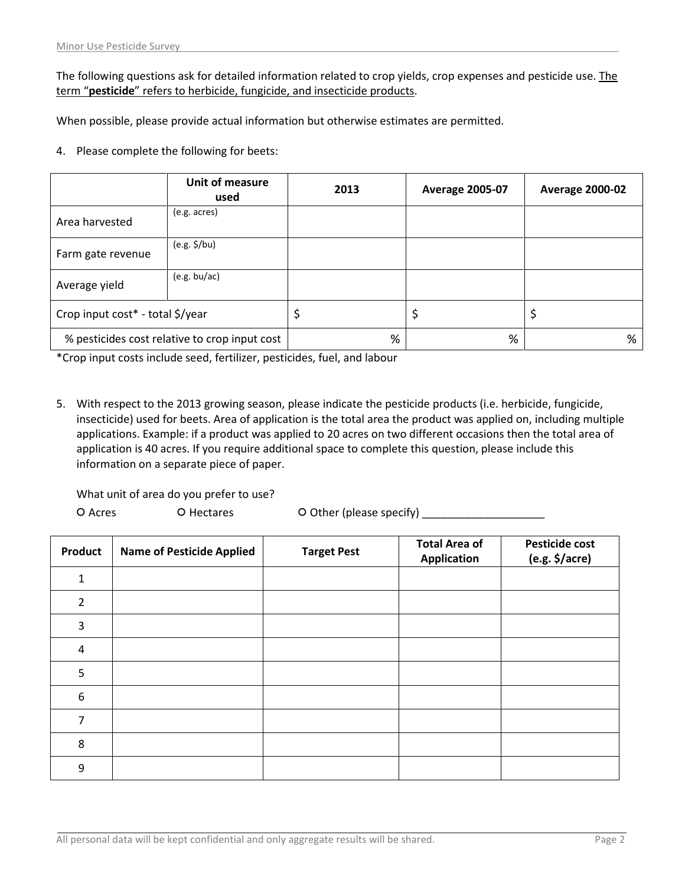The following questions ask for detailed information related to crop yields, crop expenses and pesticide use. The term "pesticide" refers to herbicide, fungicide, and insecticide products.

When possible, please provide actual information but otherwise estimates are permitted.

4. Please complete the following for beets:

|                                               | Unit of measure<br>used | 2013 | <b>Average 2005-07</b> | <b>Average 2000-02</b> |
|-----------------------------------------------|-------------------------|------|------------------------|------------------------|
| Area harvested                                | (e.g. acres)            |      |                        |                        |
| Farm gate revenue                             | $(e.g. \frac{1}{2}/bu)$ |      |                        |                        |
| Average yield                                 | (e.g. bu/ac)            |      |                        |                        |
| Crop input cost* - total \$/year              |                         |      |                        | ₽                      |
| % pesticides cost relative to crop input cost |                         | %    | %                      | %                      |

\*Crop input costs include seed, fertilizer, pesticides, fuel, and labour

5. With respect to the 2013 growing season, please indicate the pesticide products (i.e. herbicide, fungicide, insecticide) used for beets. Area of application is the total area the product was applied on, including multiple applications. Example: if a product was applied to 20 acres on two different occasions then the total area of application is 40 acres. If you require additional space to complete this question, please include this information on a separate piece of paper.

What unit of area do you prefer to use?

O Acres O Hectares O Other (please specify) \_\_\_\_\_\_\_\_\_\_\_\_\_\_\_\_\_\_\_\_\_\_\_\_\_

| Product          | <b>Name of Pesticide Applied</b> | <b>Target Pest</b> | <b>Total Area of</b><br><b>Application</b> | <b>Pesticide cost</b><br>$(e.g. \frac{1}{2}/acre)$ |
|------------------|----------------------------------|--------------------|--------------------------------------------|----------------------------------------------------|
| $\mathbf{1}$     |                                  |                    |                                            |                                                    |
| $\overline{2}$   |                                  |                    |                                            |                                                    |
| $\mathbf{3}$     |                                  |                    |                                            |                                                    |
| $\overline{4}$   |                                  |                    |                                            |                                                    |
| 5                |                                  |                    |                                            |                                                    |
| $\boldsymbol{6}$ |                                  |                    |                                            |                                                    |
| 7                |                                  |                    |                                            |                                                    |
| 8                |                                  |                    |                                            |                                                    |
| 9                |                                  |                    |                                            |                                                    |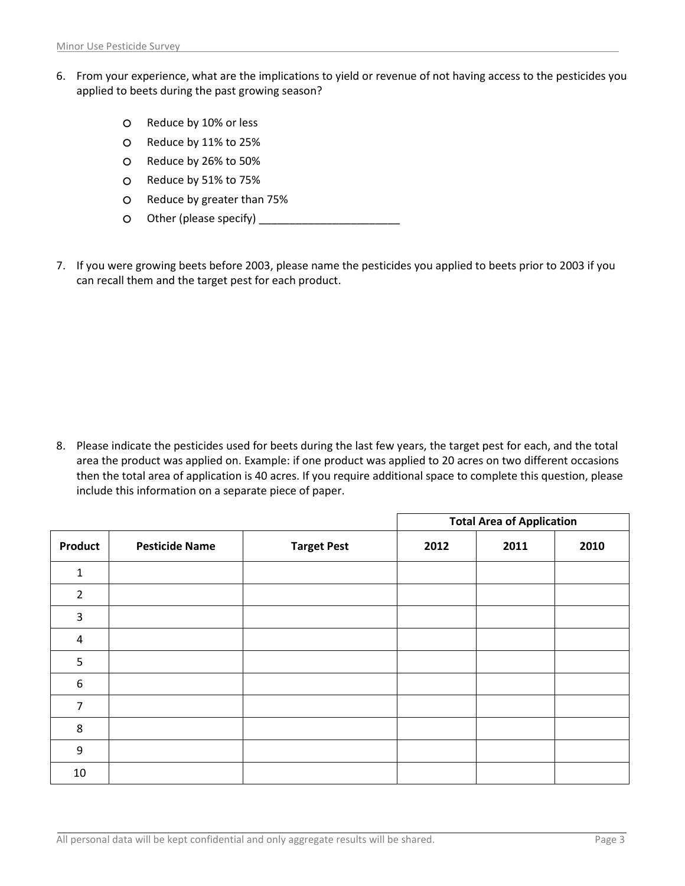- 6. From your experience, what are the implications to yield or revenue of not having access to the pesticides you applied to beets during the past growing season?
	- O Reduce by 10% or less
	- Reduce by 11% to 25%
	- Reduce by 26% to 50%
	- Reduce by 51% to 75%
	- Reduce by greater than 75%
	- Other (please specify) \_\_\_\_\_\_\_\_\_\_\_\_\_\_\_\_\_\_\_\_\_\_\_
- 7. If you were growing beets before 2003, please name the pesticides you applied to beets prior to 2003 if you can recall them and the target pest for each product.

8. Please indicate the pesticides used for beets during the last few years, the target pest for each, and the total area the product was applied on. Example: if one product was applied to 20 acres on two different occasions then the total area of application is 40 acres. If you require additional space to complete this question, please include this information on a separate piece of paper.

|                  |                       |                    | <b>Total Area of Application</b> |      |      |
|------------------|-----------------------|--------------------|----------------------------------|------|------|
| <b>Product</b>   | <b>Pesticide Name</b> | <b>Target Pest</b> | 2012                             | 2011 | 2010 |
| $\mathbf{1}$     |                       |                    |                                  |      |      |
| $\overline{2}$   |                       |                    |                                  |      |      |
| 3                |                       |                    |                                  |      |      |
| 4                |                       |                    |                                  |      |      |
| 5                |                       |                    |                                  |      |      |
| $\boldsymbol{6}$ |                       |                    |                                  |      |      |
| 7                |                       |                    |                                  |      |      |
| 8                |                       |                    |                                  |      |      |
| 9                |                       |                    |                                  |      |      |
| 10               |                       |                    |                                  |      |      |